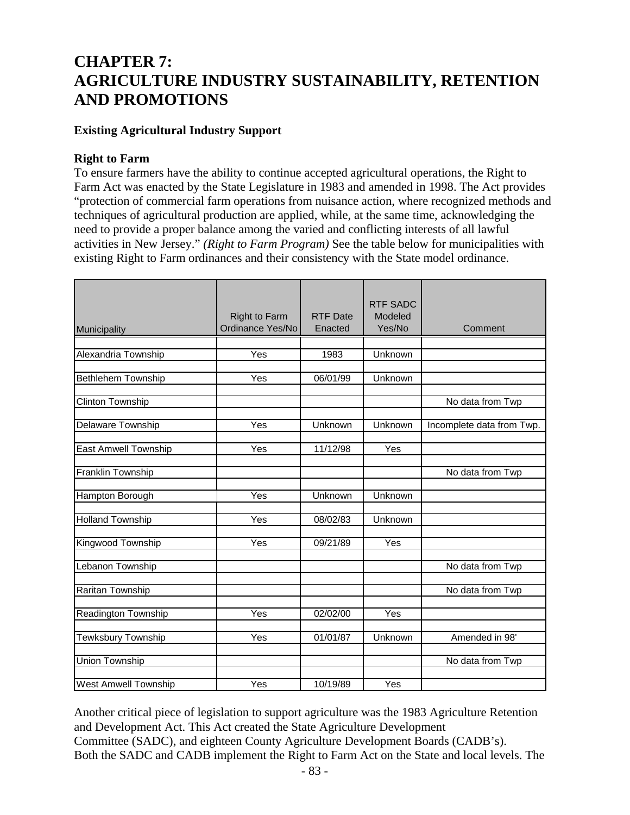# **CHAPTER 7: AGRICULTURE INDUSTRY SUSTAINABILITY, RETENTION AND PROMOTIONS**

# **Existing Agricultural Industry Support**

## **Right to Farm**

To ensure farmers have the ability to continue accepted agricultural operations, the Right to Farm Act was enacted by the State Legislature in 1983 and amended in 1998. The Act provides "protection of commercial farm operations from nuisance action, where recognized methods and techniques of agricultural production are applied, while, at the same time, acknowledging the need to provide a proper balance among the varied and conflicting interests of all lawful activities in New Jersey." *(Right to Farm Program)* See the table below for municipalities with existing Right to Farm ordinances and their consistency with the State model ordinance.

| Municipality                | <b>Right to Farm</b><br>Ordinance Yes/No | <b>RTF Date</b><br>Enacted | <b>RTF SADC</b><br>Modeled<br>Yes/No | Comment                   |
|-----------------------------|------------------------------------------|----------------------------|--------------------------------------|---------------------------|
|                             |                                          |                            |                                      |                           |
| Alexandria Township         | Yes                                      | 1983                       | Unknown                              |                           |
| <b>Bethlehem Township</b>   | Yes                                      | 06/01/99                   | Unknown                              |                           |
|                             |                                          |                            |                                      |                           |
| <b>Clinton Township</b>     |                                          |                            |                                      | No data from Twp          |
|                             |                                          |                            |                                      |                           |
| Delaware Township           | Yes                                      | Unknown                    | Unknown                              | Incomplete data from Twp. |
|                             |                                          |                            |                                      |                           |
| <b>East Amwell Township</b> | Yes                                      | 11/12/98                   | Yes                                  |                           |
| <b>Franklin Township</b>    |                                          |                            |                                      | No data from Twp          |
|                             |                                          |                            |                                      |                           |
| Hampton Borough             | Yes                                      | Unknown                    | Unknown                              |                           |
|                             |                                          |                            |                                      |                           |
| <b>Holland Township</b>     | Yes                                      | 08/02/83                   | Unknown                              |                           |
| Kingwood Township           | Yes                                      | 09/21/89                   | Yes                                  |                           |
|                             |                                          |                            |                                      |                           |
| Lebanon Township            |                                          |                            |                                      | No data from Twp          |
|                             |                                          |                            |                                      |                           |
| <b>Raritan Township</b>     |                                          |                            |                                      | No data from Twp          |
|                             | Yes                                      | 02/02/00                   | Yes                                  |                           |
| <b>Readington Township</b>  |                                          |                            |                                      |                           |
| <b>Tewksbury Township</b>   | Yes                                      | 01/01/87                   | Unknown                              | Amended in 98'            |
|                             |                                          |                            |                                      |                           |
| <b>Union Township</b>       |                                          |                            |                                      | No data from Twp          |
| <b>West Amwell Township</b> | Yes                                      | 10/19/89                   | Yes                                  |                           |
|                             |                                          |                            |                                      |                           |

Another critical piece of legislation to support agriculture was the 1983 Agriculture Retention and Development Act. This Act created the State Agriculture Development Committee (SADC), and eighteen County Agriculture Development Boards (CADB's). Both the SADC and CADB implement the Right to Farm Act on the State and local levels. The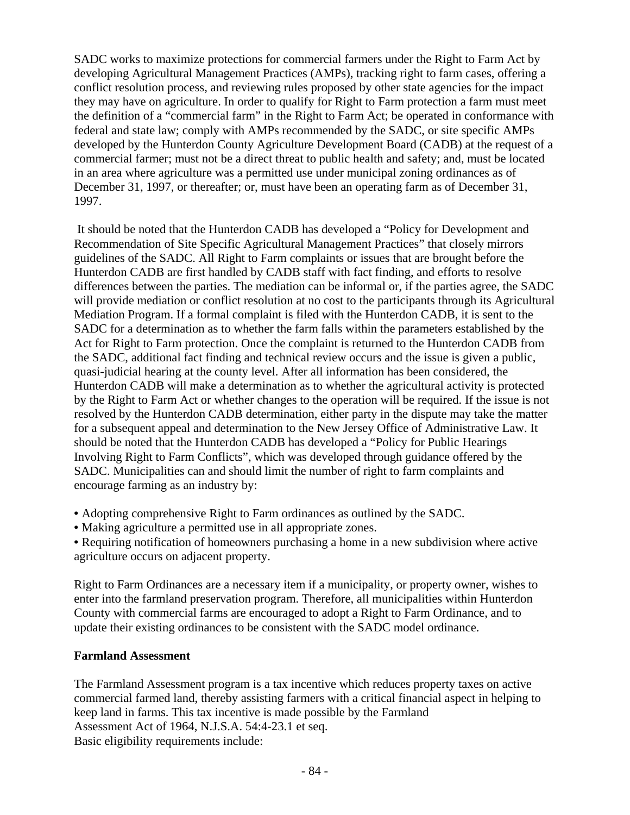SADC works to maximize protections for commercial farmers under the Right to Farm Act by developing Agricultural Management Practices (AMPs), tracking right to farm cases, offering a conflict resolution process, and reviewing rules proposed by other state agencies for the impact they may have on agriculture. In order to qualify for Right to Farm protection a farm must meet the definition of a "commercial farm" in the Right to Farm Act; be operated in conformance with federal and state law; comply with AMPs recommended by the SADC, or site specific AMPs developed by the Hunterdon County Agriculture Development Board (CADB) at the request of a commercial farmer; must not be a direct threat to public health and safety; and, must be located in an area where agriculture was a permitted use under municipal zoning ordinances as of December 31, 1997, or thereafter; or, must have been an operating farm as of December 31, 1997.

 It should be noted that the Hunterdon CADB has developed a "Policy for Development and Recommendation of Site Specific Agricultural Management Practices" that closely mirrors guidelines of the SADC. All Right to Farm complaints or issues that are brought before the Hunterdon CADB are first handled by CADB staff with fact finding, and efforts to resolve differences between the parties. The mediation can be informal or, if the parties agree, the SADC will provide mediation or conflict resolution at no cost to the participants through its Agricultural Mediation Program. If a formal complaint is filed with the Hunterdon CADB, it is sent to the SADC for a determination as to whether the farm falls within the parameters established by the Act for Right to Farm protection. Once the complaint is returned to the Hunterdon CADB from the SADC, additional fact finding and technical review occurs and the issue is given a public, quasi-judicial hearing at the county level. After all information has been considered, the Hunterdon CADB will make a determination as to whether the agricultural activity is protected by the Right to Farm Act or whether changes to the operation will be required. If the issue is not resolved by the Hunterdon CADB determination, either party in the dispute may take the matter for a subsequent appeal and determination to the New Jersey Office of Administrative Law. It should be noted that the Hunterdon CADB has developed a "Policy for Public Hearings Involving Right to Farm Conflicts", which was developed through guidance offered by the SADC. Municipalities can and should limit the number of right to farm complaints and encourage farming as an industry by:

- Adopting comprehensive Right to Farm ordinances as outlined by the SADC.
- Making agriculture a permitted use in all appropriate zones.
- Requiring notification of homeowners purchasing a home in a new subdivision where active agriculture occurs on adjacent property.

Right to Farm Ordinances are a necessary item if a municipality, or property owner, wishes to enter into the farmland preservation program. Therefore, all municipalities within Hunterdon County with commercial farms are encouraged to adopt a Right to Farm Ordinance, and to update their existing ordinances to be consistent with the SADC model ordinance.

#### **Farmland Assessment**

The Farmland Assessment program is a tax incentive which reduces property taxes on active commercial farmed land, thereby assisting farmers with a critical financial aspect in helping to keep land in farms. This tax incentive is made possible by the Farmland Assessment Act of 1964, N.J.S.A. 54:4-23.1 et seq. Basic eligibility requirements include: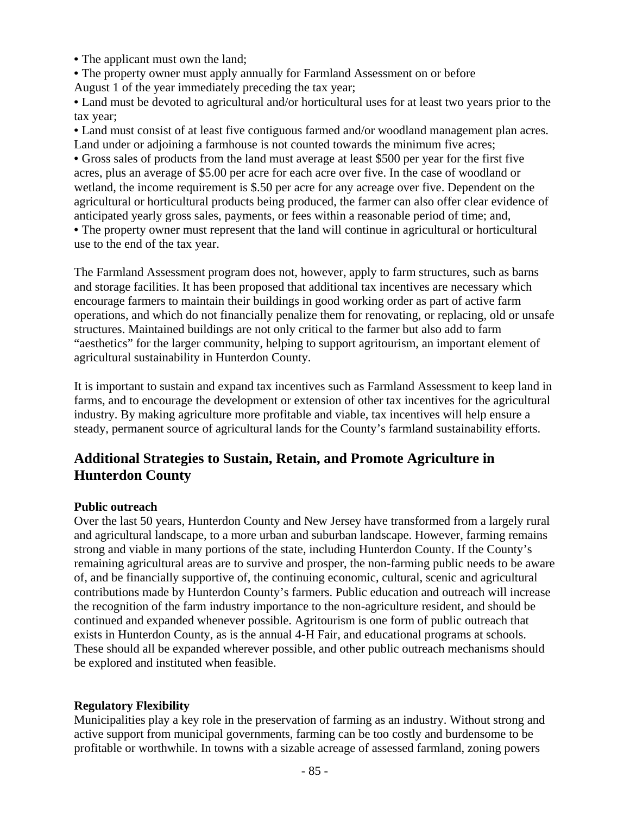• The applicant must own the land:

• The property owner must apply annually for Farmland Assessment on or before August 1 of the year immediately preceding the tax year;

• Land must be devoted to agricultural and/or horticultural uses for at least two years prior to the tax year;

• Land must consist of at least five contiguous farmed and/or woodland management plan acres. Land under or adjoining a farmhouse is not counted towards the minimum five acres;

• Gross sales of products from the land must average at least \$500 per year for the first five acres, plus an average of \$5.00 per acre for each acre over five. In the case of woodland or wetland, the income requirement is \$.50 per acre for any acreage over five. Dependent on the agricultural or horticultural products being produced, the farmer can also offer clear evidence of anticipated yearly gross sales, payments, or fees within a reasonable period of time; and,

• The property owner must represent that the land will continue in agricultural or horticultural use to the end of the tax year.

The Farmland Assessment program does not, however, apply to farm structures, such as barns and storage facilities. It has been proposed that additional tax incentives are necessary which encourage farmers to maintain their buildings in good working order as part of active farm operations, and which do not financially penalize them for renovating, or replacing, old or unsafe structures. Maintained buildings are not only critical to the farmer but also add to farm "aesthetics" for the larger community, helping to support agritourism, an important element of agricultural sustainability in Hunterdon County.

It is important to sustain and expand tax incentives such as Farmland Assessment to keep land in farms, and to encourage the development or extension of other tax incentives for the agricultural industry. By making agriculture more profitable and viable, tax incentives will help ensure a steady, permanent source of agricultural lands for the County's farmland sustainability efforts.

# **Additional Strategies to Sustain, Retain, and Promote Agriculture in Hunterdon County**

#### **Public outreach**

Over the last 50 years, Hunterdon County and New Jersey have transformed from a largely rural and agricultural landscape, to a more urban and suburban landscape. However, farming remains strong and viable in many portions of the state, including Hunterdon County. If the County's remaining agricultural areas are to survive and prosper, the non-farming public needs to be aware of, and be financially supportive of, the continuing economic, cultural, scenic and agricultural contributions made by Hunterdon County's farmers. Public education and outreach will increase the recognition of the farm industry importance to the non-agriculture resident, and should be continued and expanded whenever possible. Agritourism is one form of public outreach that exists in Hunterdon County, as is the annual 4-H Fair, and educational programs at schools. These should all be expanded wherever possible, and other public outreach mechanisms should be explored and instituted when feasible.

#### **Regulatory Flexibility**

Municipalities play a key role in the preservation of farming as an industry. Without strong and active support from municipal governments, farming can be too costly and burdensome to be profitable or worthwhile. In towns with a sizable acreage of assessed farmland, zoning powers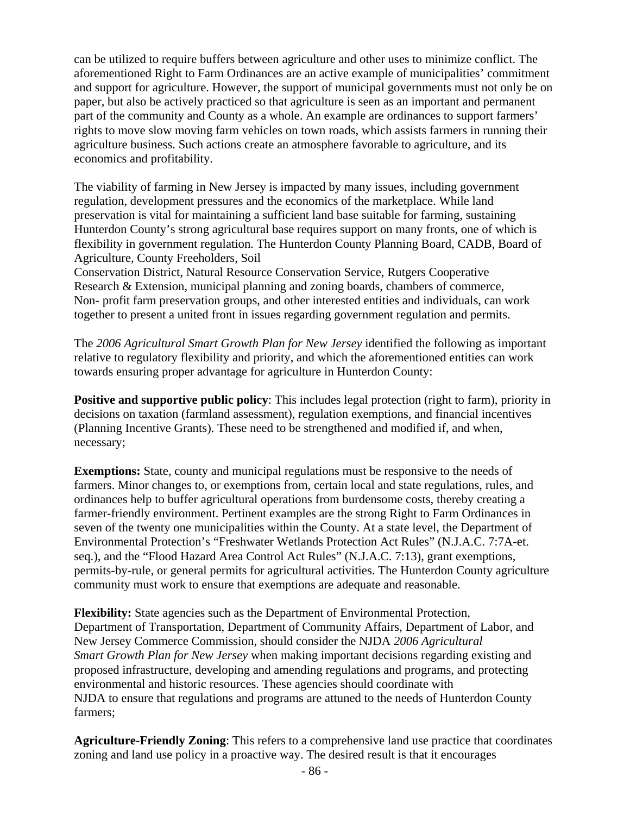can be utilized to require buffers between agriculture and other uses to minimize conflict. The aforementioned Right to Farm Ordinances are an active example of municipalities' commitment and support for agriculture. However, the support of municipal governments must not only be on paper, but also be actively practiced so that agriculture is seen as an important and permanent part of the community and County as a whole. An example are ordinances to support farmers' rights to move slow moving farm vehicles on town roads, which assists farmers in running their agriculture business. Such actions create an atmosphere favorable to agriculture, and its economics and profitability.

The viability of farming in New Jersey is impacted by many issues, including government regulation, development pressures and the economics of the marketplace. While land preservation is vital for maintaining a sufficient land base suitable for farming, sustaining Hunterdon County's strong agricultural base requires support on many fronts, one of which is flexibility in government regulation. The Hunterdon County Planning Board, CADB, Board of Agriculture, County Freeholders, Soil

Conservation District, Natural Resource Conservation Service, Rutgers Cooperative Research & Extension, municipal planning and zoning boards, chambers of commerce, Non- profit farm preservation groups, and other interested entities and individuals, can work together to present a united front in issues regarding government regulation and permits.

The *2006 Agricultural Smart Growth Plan for New Jersey* identified the following as important relative to regulatory flexibility and priority, and which the aforementioned entities can work towards ensuring proper advantage for agriculture in Hunterdon County:

**Positive and supportive public policy**: This includes legal protection (right to farm), priority in decisions on taxation (farmland assessment), regulation exemptions, and financial incentives (Planning Incentive Grants). These need to be strengthened and modified if, and when, necessary;

**Exemptions:** State, county and municipal regulations must be responsive to the needs of farmers. Minor changes to, or exemptions from, certain local and state regulations, rules, and ordinances help to buffer agricultural operations from burdensome costs, thereby creating a farmer-friendly environment. Pertinent examples are the strong Right to Farm Ordinances in seven of the twenty one municipalities within the County. At a state level, the Department of Environmental Protection's "Freshwater Wetlands Protection Act Rules" (N.J.A.C. 7:7A-et. seq.), and the "Flood Hazard Area Control Act Rules" (N.J.A.C. 7:13), grant exemptions, permits-by-rule, or general permits for agricultural activities. The Hunterdon County agriculture community must work to ensure that exemptions are adequate and reasonable.

**Flexibility:** State agencies such as the Department of Environmental Protection, Department of Transportation, Department of Community Affairs, Department of Labor, and New Jersey Commerce Commission, should consider the NJDA *2006 Agricultural Smart Growth Plan for New Jersey* when making important decisions regarding existing and proposed infrastructure, developing and amending regulations and programs, and protecting environmental and historic resources. These agencies should coordinate with NJDA to ensure that regulations and programs are attuned to the needs of Hunterdon County farmers;

**Agriculture-Friendly Zoning**: This refers to a comprehensive land use practice that coordinates zoning and land use policy in a proactive way. The desired result is that it encourages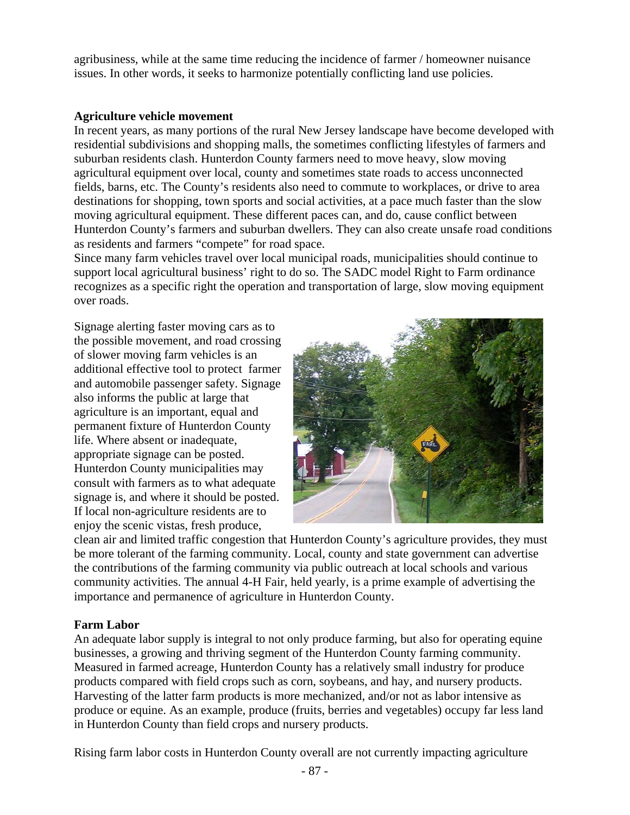agribusiness, while at the same time reducing the incidence of farmer / homeowner nuisance issues. In other words, it seeks to harmonize potentially conflicting land use policies.

#### **Agriculture vehicle movement**

In recent years, as many portions of the rural New Jersey landscape have become developed with residential subdivisions and shopping malls, the sometimes conflicting lifestyles of farmers and suburban residents clash. Hunterdon County farmers need to move heavy, slow moving agricultural equipment over local, county and sometimes state roads to access unconnected fields, barns, etc. The County's residents also need to commute to workplaces, or drive to area destinations for shopping, town sports and social activities, at a pace much faster than the slow moving agricultural equipment. These different paces can, and do, cause conflict between Hunterdon County's farmers and suburban dwellers. They can also create unsafe road conditions as residents and farmers "compete" for road space.

Since many farm vehicles travel over local municipal roads, municipalities should continue to support local agricultural business' right to do so. The SADC model Right to Farm ordinance recognizes as a specific right the operation and transportation of large, slow moving equipment over roads.

Signage alerting faster moving cars as to the possible movement, and road crossing of slower moving farm vehicles is an additional effective tool to protect farmer and automobile passenger safety. Signage also informs the public at large that agriculture is an important, equal and permanent fixture of Hunterdon County life. Where absent or inadequate, appropriate signage can be posted. Hunterdon County municipalities may consult with farmers as to what adequate signage is, and where it should be posted. If local non-agriculture residents are to enjoy the scenic vistas, fresh produce,



clean air and limited traffic congestion that Hunterdon County's agriculture provides, they must be more tolerant of the farming community. Local, county and state government can advertise the contributions of the farming community via public outreach at local schools and various community activities. The annual 4-H Fair, held yearly, is a prime example of advertising the importance and permanence of agriculture in Hunterdon County.

#### **Farm Labor**

An adequate labor supply is integral to not only produce farming, but also for operating equine businesses, a growing and thriving segment of the Hunterdon County farming community. Measured in farmed acreage, Hunterdon County has a relatively small industry for produce products compared with field crops such as corn, soybeans, and hay, and nursery products. Harvesting of the latter farm products is more mechanized, and/or not as labor intensive as produce or equine. As an example, produce (fruits, berries and vegetables) occupy far less land in Hunterdon County than field crops and nursery products.

Rising farm labor costs in Hunterdon County overall are not currently impacting agriculture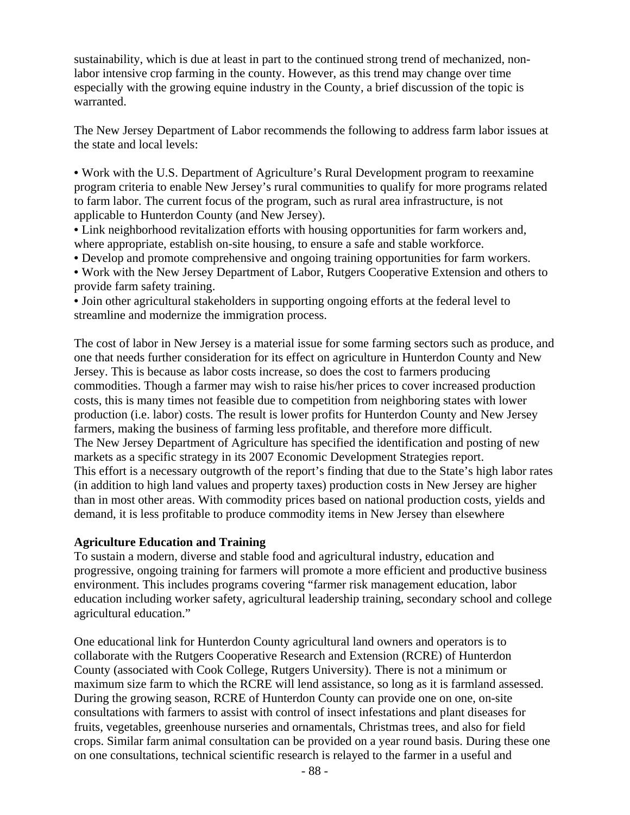sustainability, which is due at least in part to the continued strong trend of mechanized, nonlabor intensive crop farming in the county. However, as this trend may change over time especially with the growing equine industry in the County, a brief discussion of the topic is warranted.

The New Jersey Department of Labor recommends the following to address farm labor issues at the state and local levels:

• Work with the U.S. Department of Agriculture's Rural Development program to reexamine program criteria to enable New Jersey's rural communities to qualify for more programs related to farm labor. The current focus of the program, such as rural area infrastructure, is not applicable to Hunterdon County (and New Jersey).

• Link neighborhood revitalization efforts with housing opportunities for farm workers and, where appropriate, establish on-site housing, to ensure a safe and stable workforce.

• Develop and promote comprehensive and ongoing training opportunities for farm workers.

• Work with the New Jersey Department of Labor, Rutgers Cooperative Extension and others to provide farm safety training.

• Join other agricultural stakeholders in supporting ongoing efforts at the federal level to streamline and modernize the immigration process.

The cost of labor in New Jersey is a material issue for some farming sectors such as produce, and one that needs further consideration for its effect on agriculture in Hunterdon County and New Jersey. This is because as labor costs increase, so does the cost to farmers producing commodities. Though a farmer may wish to raise his/her prices to cover increased production costs, this is many times not feasible due to competition from neighboring states with lower production (i.e. labor) costs. The result is lower profits for Hunterdon County and New Jersey farmers, making the business of farming less profitable, and therefore more difficult. The New Jersey Department of Agriculture has specified the identification and posting of new markets as a specific strategy in its 2007 Economic Development Strategies report. This effort is a necessary outgrowth of the report's finding that due to the State's high labor rates (in addition to high land values and property taxes) production costs in New Jersey are higher than in most other areas. With commodity prices based on national production costs, yields and demand, it is less profitable to produce commodity items in New Jersey than elsewhere

#### **Agriculture Education and Training**

To sustain a modern, diverse and stable food and agricultural industry, education and progressive, ongoing training for farmers will promote a more efficient and productive business environment. This includes programs covering "farmer risk management education, labor education including worker safety, agricultural leadership training, secondary school and college agricultural education."

One educational link for Hunterdon County agricultural land owners and operators is to collaborate with the Rutgers Cooperative Research and Extension (RCRE) of Hunterdon County (associated with Cook College, Rutgers University). There is not a minimum or maximum size farm to which the RCRE will lend assistance, so long as it is farmland assessed. During the growing season, RCRE of Hunterdon County can provide one on one, on-site consultations with farmers to assist with control of insect infestations and plant diseases for fruits, vegetables, greenhouse nurseries and ornamentals, Christmas trees, and also for field crops. Similar farm animal consultation can be provided on a year round basis. During these one on one consultations, technical scientific research is relayed to the farmer in a useful and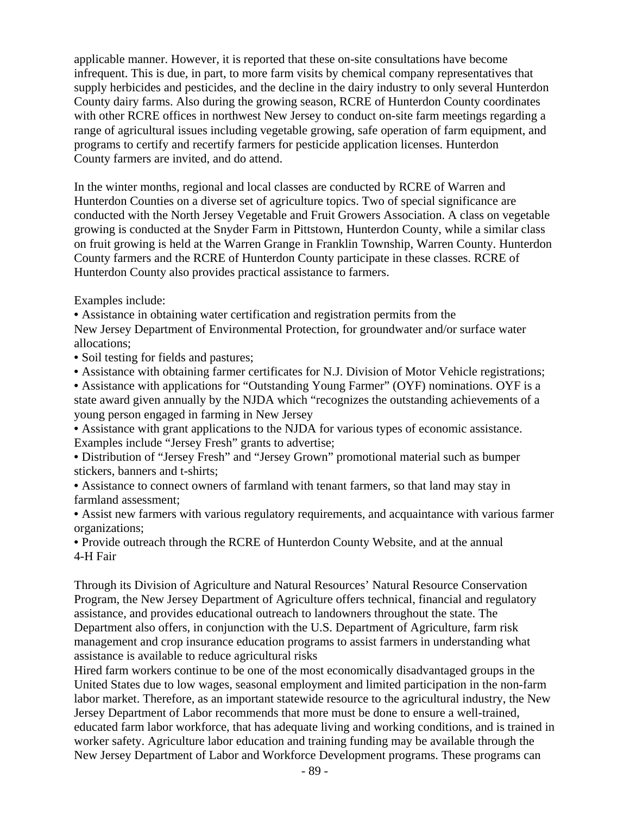applicable manner. However, it is reported that these on-site consultations have become infrequent. This is due, in part, to more farm visits by chemical company representatives that supply herbicides and pesticides, and the decline in the dairy industry to only several Hunterdon County dairy farms. Also during the growing season, RCRE of Hunterdon County coordinates with other RCRE offices in northwest New Jersey to conduct on-site farm meetings regarding a range of agricultural issues including vegetable growing, safe operation of farm equipment, and programs to certify and recertify farmers for pesticide application licenses. Hunterdon County farmers are invited, and do attend.

In the winter months, regional and local classes are conducted by RCRE of Warren and Hunterdon Counties on a diverse set of agriculture topics. Two of special significance are conducted with the North Jersey Vegetable and Fruit Growers Association. A class on vegetable growing is conducted at the Snyder Farm in Pittstown, Hunterdon County, while a similar class on fruit growing is held at the Warren Grange in Franklin Township, Warren County. Hunterdon County farmers and the RCRE of Hunterdon County participate in these classes. RCRE of Hunterdon County also provides practical assistance to farmers.

Examples include:

• Assistance in obtaining water certification and registration permits from the

New Jersey Department of Environmental Protection, for groundwater and/or surface water allocations;

- Soil testing for fields and pastures;
- Assistance with obtaining farmer certificates for N.J. Division of Motor Vehicle registrations;

• Assistance with applications for "Outstanding Young Farmer" (OYF) nominations. OYF is a state award given annually by the NJDA which "recognizes the outstanding achievements of a young person engaged in farming in New Jersey

• Assistance with grant applications to the NJDA for various types of economic assistance. Examples include "Jersey Fresh" grants to advertise;

• Distribution of "Jersey Fresh" and "Jersey Grown" promotional material such as bumper stickers, banners and t-shirts;

• Assistance to connect owners of farmland with tenant farmers, so that land may stay in farmland assessment;

• Assist new farmers with various regulatory requirements, and acquaintance with various farmer organizations;

• Provide outreach through the RCRE of Hunterdon County Website, and at the annual 4-H Fair

Through its Division of Agriculture and Natural Resources' Natural Resource Conservation Program, the New Jersey Department of Agriculture offers technical, financial and regulatory assistance, and provides educational outreach to landowners throughout the state. The Department also offers, in conjunction with the U.S. Department of Agriculture, farm risk management and crop insurance education programs to assist farmers in understanding what assistance is available to reduce agricultural risks

Hired farm workers continue to be one of the most economically disadvantaged groups in the United States due to low wages, seasonal employment and limited participation in the non-farm labor market. Therefore, as an important statewide resource to the agricultural industry, the New Jersey Department of Labor recommends that more must be done to ensure a well-trained, educated farm labor workforce, that has adequate living and working conditions, and is trained in worker safety. Agriculture labor education and training funding may be available through the New Jersey Department of Labor and Workforce Development programs. These programs can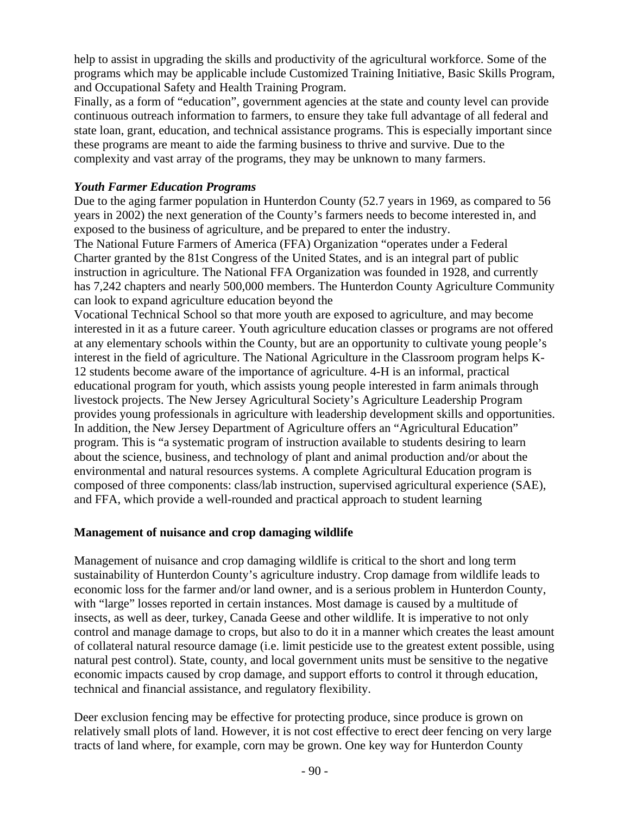help to assist in upgrading the skills and productivity of the agricultural workforce. Some of the programs which may be applicable include Customized Training Initiative, Basic Skills Program, and Occupational Safety and Health Training Program.

Finally, as a form of "education", government agencies at the state and county level can provide continuous outreach information to farmers, to ensure they take full advantage of all federal and state loan, grant, education, and technical assistance programs. This is especially important since these programs are meant to aide the farming business to thrive and survive. Due to the complexity and vast array of the programs, they may be unknown to many farmers.

#### *Youth Farmer Education Programs*

Due to the aging farmer population in Hunterdon County (52.7 years in 1969, as compared to 56 years in 2002) the next generation of the County's farmers needs to become interested in, and exposed to the business of agriculture, and be prepared to enter the industry.

The National Future Farmers of America (FFA) Organization "operates under a Federal Charter granted by the 81st Congress of the United States, and is an integral part of public instruction in agriculture. The National FFA Organization was founded in 1928, and currently has 7,242 chapters and nearly 500,000 members. The Hunterdon County Agriculture Community can look to expand agriculture education beyond the

Vocational Technical School so that more youth are exposed to agriculture, and may become interested in it as a future career. Youth agriculture education classes or programs are not offered at any elementary schools within the County, but are an opportunity to cultivate young people's interest in the field of agriculture. The National Agriculture in the Classroom program helps K-12 students become aware of the importance of agriculture. 4-H is an informal, practical educational program for youth, which assists young people interested in farm animals through livestock projects. The New Jersey Agricultural Society's Agriculture Leadership Program provides young professionals in agriculture with leadership development skills and opportunities. In addition, the New Jersey Department of Agriculture offers an "Agricultural Education" program. This is "a systematic program of instruction available to students desiring to learn about the science, business, and technology of plant and animal production and/or about the environmental and natural resources systems. A complete Agricultural Education program is composed of three components: class/lab instruction, supervised agricultural experience (SAE), and FFA, which provide a well-rounded and practical approach to student learning

#### **Management of nuisance and crop damaging wildlife**

Management of nuisance and crop damaging wildlife is critical to the short and long term sustainability of Hunterdon County's agriculture industry. Crop damage from wildlife leads to economic loss for the farmer and/or land owner, and is a serious problem in Hunterdon County, with "large" losses reported in certain instances. Most damage is caused by a multitude of insects, as well as deer, turkey, Canada Geese and other wildlife. It is imperative to not only control and manage damage to crops, but also to do it in a manner which creates the least amount of collateral natural resource damage (i.e. limit pesticide use to the greatest extent possible, using natural pest control). State, county, and local government units must be sensitive to the negative economic impacts caused by crop damage, and support efforts to control it through education, technical and financial assistance, and regulatory flexibility.

Deer exclusion fencing may be effective for protecting produce, since produce is grown on relatively small plots of land. However, it is not cost effective to erect deer fencing on very large tracts of land where, for example, corn may be grown. One key way for Hunterdon County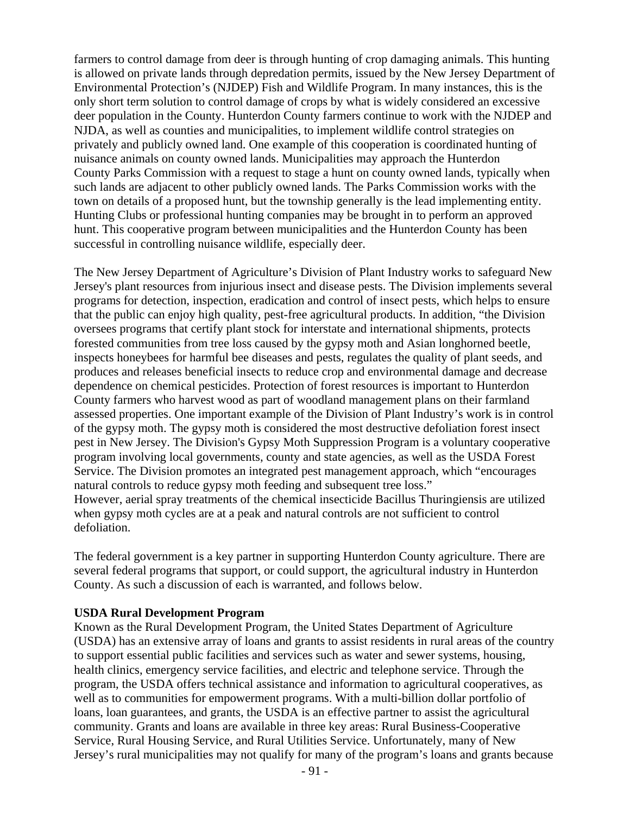farmers to control damage from deer is through hunting of crop damaging animals. This hunting is allowed on private lands through depredation permits, issued by the New Jersey Department of Environmental Protection's (NJDEP) Fish and Wildlife Program. In many instances, this is the only short term solution to control damage of crops by what is widely considered an excessive deer population in the County. Hunterdon County farmers continue to work with the NJDEP and NJDA, as well as counties and municipalities, to implement wildlife control strategies on privately and publicly owned land. One example of this cooperation is coordinated hunting of nuisance animals on county owned lands. Municipalities may approach the Hunterdon County Parks Commission with a request to stage a hunt on county owned lands, typically when such lands are adjacent to other publicly owned lands. The Parks Commission works with the town on details of a proposed hunt, but the township generally is the lead implementing entity. Hunting Clubs or professional hunting companies may be brought in to perform an approved hunt. This cooperative program between municipalities and the Hunterdon County has been successful in controlling nuisance wildlife, especially deer.

The New Jersey Department of Agriculture's Division of Plant Industry works to safeguard New Jersey's plant resources from injurious insect and disease pests. The Division implements several programs for detection, inspection, eradication and control of insect pests, which helps to ensure that the public can enjoy high quality, pest-free agricultural products. In addition, "the Division oversees programs that certify plant stock for interstate and international shipments, protects forested communities from tree loss caused by the gypsy moth and Asian longhorned beetle, inspects honeybees for harmful bee diseases and pests, regulates the quality of plant seeds, and produces and releases beneficial insects to reduce crop and environmental damage and decrease dependence on chemical pesticides. Protection of forest resources is important to Hunterdon County farmers who harvest wood as part of woodland management plans on their farmland assessed properties. One important example of the Division of Plant Industry's work is in control of the gypsy moth. The gypsy moth is considered the most destructive defoliation forest insect pest in New Jersey. The Division's Gypsy Moth Suppression Program is a voluntary cooperative program involving local governments, county and state agencies, as well as the USDA Forest Service. The Division promotes an integrated pest management approach, which "encourages natural controls to reduce gypsy moth feeding and subsequent tree loss." However, aerial spray treatments of the chemical insecticide Bacillus Thuringiensis are utilized when gypsy moth cycles are at a peak and natural controls are not sufficient to control defoliation.

The federal government is a key partner in supporting Hunterdon County agriculture. There are several federal programs that support, or could support, the agricultural industry in Hunterdon County. As such a discussion of each is warranted, and follows below.

#### **USDA Rural Development Program**

Known as the Rural Development Program, the United States Department of Agriculture (USDA) has an extensive array of loans and grants to assist residents in rural areas of the country to support essential public facilities and services such as water and sewer systems, housing, health clinics, emergency service facilities, and electric and telephone service. Through the program, the USDA offers technical assistance and information to agricultural cooperatives, as well as to communities for empowerment programs. With a multi-billion dollar portfolio of loans, loan guarantees, and grants, the USDA is an effective partner to assist the agricultural community. Grants and loans are available in three key areas: Rural Business-Cooperative Service, Rural Housing Service, and Rural Utilities Service. Unfortunately, many of New Jersey's rural municipalities may not qualify for many of the program's loans and grants because